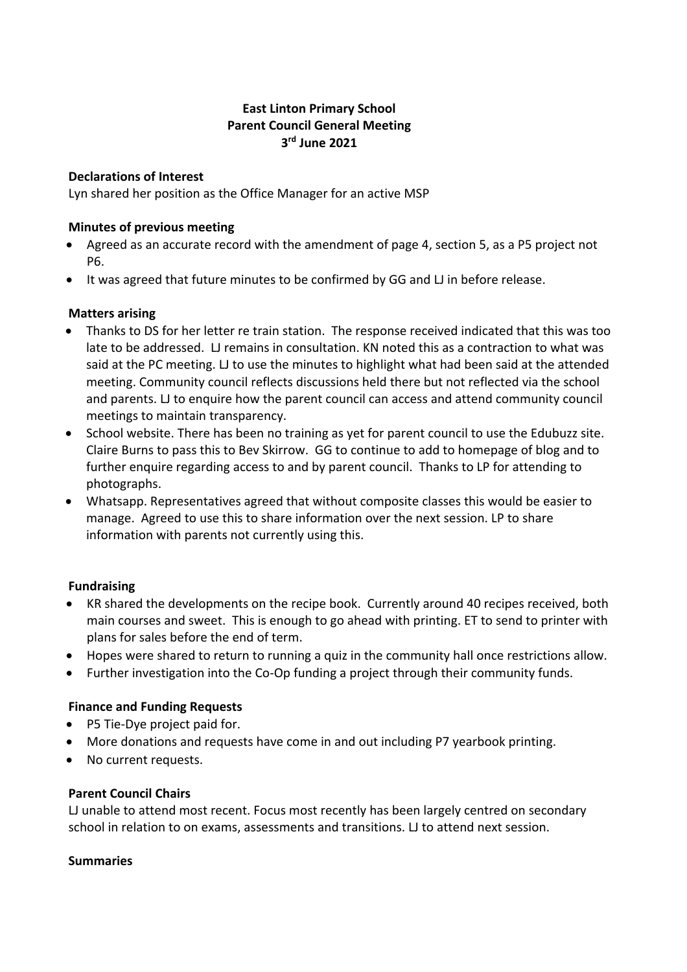### **East Linton Primary School Parent Council General Meeting 3rd June 2021**

#### **Declarations of Interest**

Lyn shared her position as the Office Manager for an active MSP

#### **Minutes of previous meeting**

- Agreed as an accurate record with the amendment of page 4, section 5, as a P5 project not P6.
- It was agreed that future minutes to be confirmed by GG and LJ in before release.

### **Matters arising**

- Thanks to DS for her letter re train station. The response received indicated that this was too late to be addressed. LJ remains in consultation. KN noted this as a contraction to what was said at the PC meeting. LJ to use the minutes to highlight what had been said at the attended meeting. Community council reflects discussions held there but not reflected via the school and parents. LJ to enquire how the parent council can access and attend community council meetings to maintain transparency.
- School website. There has been no training as yet for parent council to use the Edubuzz site. Claire Burns to pass this to Bev Skirrow. GG to continue to add to homepage of blog and to further enquire regarding access to and by parent council. Thanks to LP for attending to photographs.
- Whatsapp. Representatives agreed that without composite classes this would be easier to manage. Agreed to use this to share information over the next session. LP to share information with parents not currently using this.

# **Fundraising**

- KR shared the developments on the recipe book. Currently around 40 recipes received, both main courses and sweet. This is enough to go ahead with printing. ET to send to printer with plans for sales before the end of term.
- Hopes were shared to return to running a quiz in the community hall once restrictions allow.
- Further investigation into the Co-Op funding a project through their community funds.

#### **Finance and Funding Requests**

- P5 Tie-Dye project paid for.
- More donations and requests have come in and out including P7 yearbook printing.
- No current requests.

#### **Parent Council Chairs**

LJ unable to attend most recent. Focus most recently has been largely centred on secondary school in relation to on exams, assessments and transitions. LJ to attend next session.

#### **Summaries**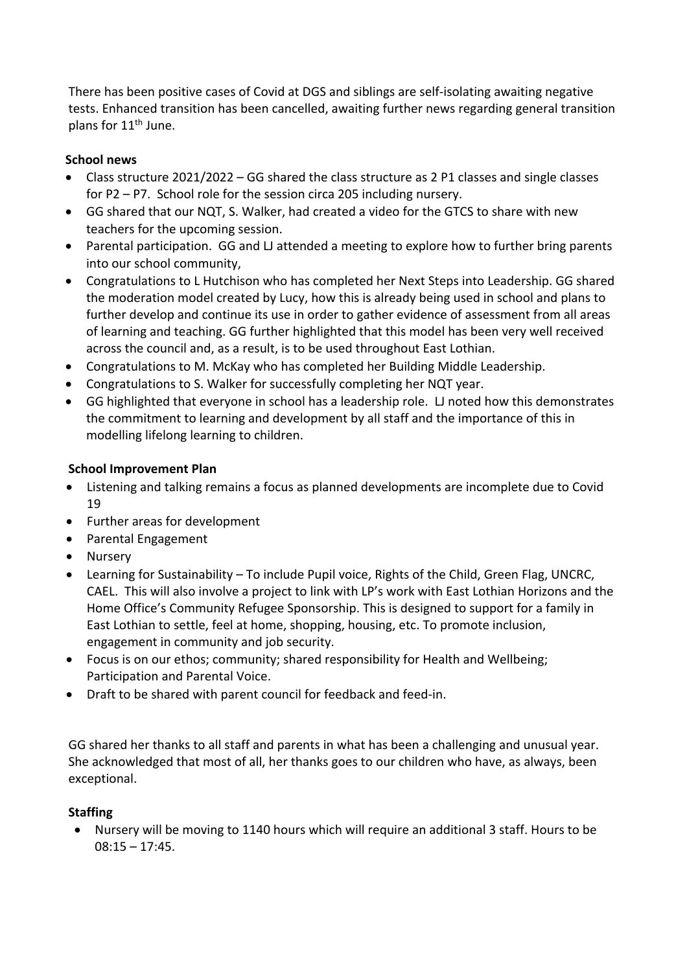There has been positive cases of Covid at DGS and siblings are self-isolating awaiting negative tests. Enhanced transition has been cancelled, awaiting further news regarding general transition plans for  $11^{th}$  June.

# **School news**

- Class structure 2021/2022 GG shared the class structure as 2 P1 classes and single classes for P2 – P7. School role for the session circa 205 including nursery.
- GG shared that our NQT, S. Walker, had created a video for the GTCS to share with new teachers for the upcoming session.
- Parental participation. GG and LJ attended a meeting to explore how to further bring parents into our school community,
- Congratulations to L Hutchison who has completed her Next Steps into Leadership. GG shared the moderation model created by Lucy, how this is already being used in school and plans to further develop and continue its use in order to gather evidence of assessment from all areas of learning and teaching. GG further highlighted that this model has been very well received across the council and, as a result, is to be used throughout East Lothian.
- Congratulations to M. McKay who has completed her Building Middle Leadership.
- Congratulations to S. Walker for successfully completing her NQT year.
- GG highlighted that everyone in school has a leadership role. LJ noted how this demonstrates the commitment to learning and development by all staff and the importance of this in modelling lifelong learning to children.

### **School Improvement Plan**

- Listening and talking remains a focus as planned developments are incomplete due to Covid 19
- Further areas for development
- Parental Engagement
- Nursery
- Learning for Sustainability To include Pupil voice, Rights of the Child, Green Flag, UNCRC, CAEL. This will also involve a project to link with LP's work with East Lothian Horizons and the Home Office's Community Refugee Sponsorship. This is designed to support for a family in East Lothian to settle, feel at home, shopping, housing, etc. To promote inclusion, engagement in community and job security.
- Focus is on our ethos; community; shared responsibility for Health and Wellbeing; Participation and Parental Voice.
- Draft to be shared with parent council for feedback and feed-in.

GG shared her thanks to all staff and parents in what has been a challenging and unusual year. She acknowledged that most of all, her thanks goes to our children who have, as always, been exceptional.

# **Staffing**

• Nursery will be moving to 1140 hours which will require an additional 3 staff. Hours to be  $08:15 - 17:45.$